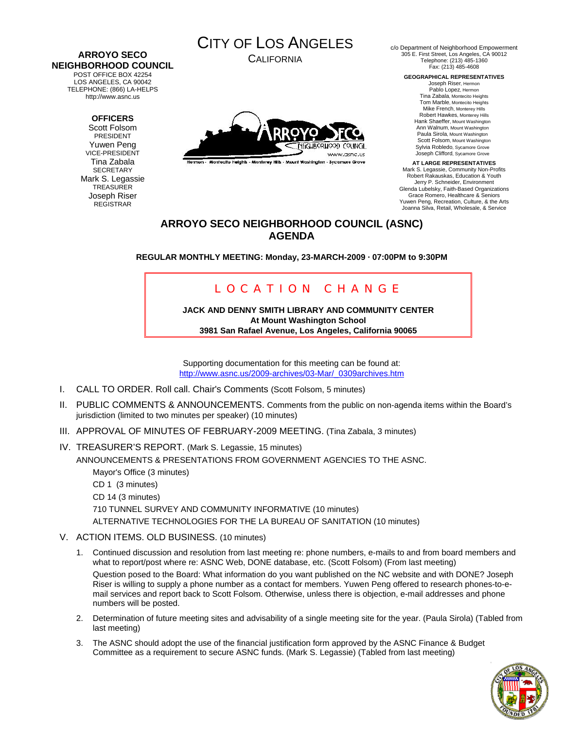#### **ARROYO SECO NEIGHBORHOOD COUNCIL**  POST OFFICE BOX 42254

LOS ANGELES, CA 90042 TELEPHONE: (866) LA-HELPS http://www.asnc.us

## **OFFICERS**

Scott Folsom PRESIDENT Yuwen Peng VICE-PRESIDENT Tina Zabala **SECRETARY** Mark S. Legassie **TREASURER** Joseph Riser REGISTRAR

CITY OF LOS ANGELES

CALIFORNIA



Termon - Montecito Heights - Monterey Hills - Mount Washington - Sycamore Grove

c/o Department of Neighborhood Empowerment 305 E. First Street, Los Angeles, CA 90012 Telephone: (213) 485-1360 Fax: (213) 485-4608

**GEOGRAPHICAL REPRESENTATIVES** 

Joseph Riser, Hermon Pablo Lopez, Hermon Tina Zabala, Montecito Heights Tom Marble, Montecito Heights Mike French, Monterey Hills Robert Hawkes, Monterey Hills Hank Shaeffer, Mount Washington Ann Walnum, Mount Washington Paula Sirola, Mount Washington Scott Folsom, Mount Washington Sylvia Robledo, Sycamore Grove Joseph Clifford, Sycamore Grove

**AT LARGE REPRESENTATIVES**  Mark S. Legassie, Community Non-Profits Robert Rakauskas, Education & Youth Jerry P. Schneider, Environment Glenda Lubelsky, Faith-Based Organizations Grace Romero, Healthcare & Seniors Yuwen Peng, Recreation, Culture, & the Arts Joanna Silva, Retail, Wholesale, & Service

## **ARROYO SECO NEIGHBORHOOD COUNCIL (ASNC) AGENDA**

**REGULAR MONTHLY MEETING: Monday, 23-MARCH-2009 · 07:00PM to 9:30PM** 

# LOCATION CHANGE

**JACK AND DENNY SMITH LIBRARY AND COMMUNITY CENTER At Mount Washington School 3981 San Rafael Avenue, Los Angeles, California 90065** 

Supporting documentation for this meeting can be found at: [http://www.asnc.us/2009-archives/03-Mar/\\_0309archives.htm](http://www.asnc.us/2009-archives/03-Mar/_0309archives.htm)

- I. CALL TO ORDER. Roll call. Chair's Comments (Scott Folsom, 5 minutes)
- II. PUBLIC COMMENTS & ANNOUNCEMENTS. Comments from the public on non-agenda items within the Board's jurisdiction (limited to two minutes per speaker) (10 minutes)
- III. APPROVAL OF MINUTES OF FEBRUARY-2009 MEETING. (Tina Zabala, 3 minutes)
- IV. TREASURER'S REPORT. (Mark S. Legassie, 15 minutes) ANNOUNCEMENTS & PRESENTATIONS FROM GOVERNMENT AGENCIES TO THE ASNC. Mayor's Office (3 minutes) CD 1 (3 minutes)

CD 14 (3 minutes) 710 TUNNEL SURVEY AND COMMUNITY INFORMATIVE (10 minutes) ALTERNATIVE TECHNOLOGIES FOR THE LA BUREAU OF SANITATION (10 minutes)

- V. ACTION ITEMS. OLD BUSINESS. (10 minutes)
	- 1. Continued discussion and resolution from last meeting re: phone numbers, e-mails to and from board members and what to report/post where re: ASNC Web, DONE database, etc. (Scott Folsom) (From last meeting)

Question posed to the Board: What information do you want published on the NC website and with DONE? Joseph Riser is willing to supply a phone number as a contact for members. Yuwen Peng offered to research phones-to-email services and report back to Scott Folsom. Otherwise, unless there is objection, e-mail addresses and phone numbers will be posted.

- 2. Determination of future meeting sites and advisability of a single meeting site for the year. (Paula Sirola) (Tabled from last meeting)
- 3. The ASNC should adopt the use of the financial justification form approved by the ASNC Finance & Budget Committee as a requirement to secure ASNC funds. (Mark S. Legassie) (Tabled from last meeting)

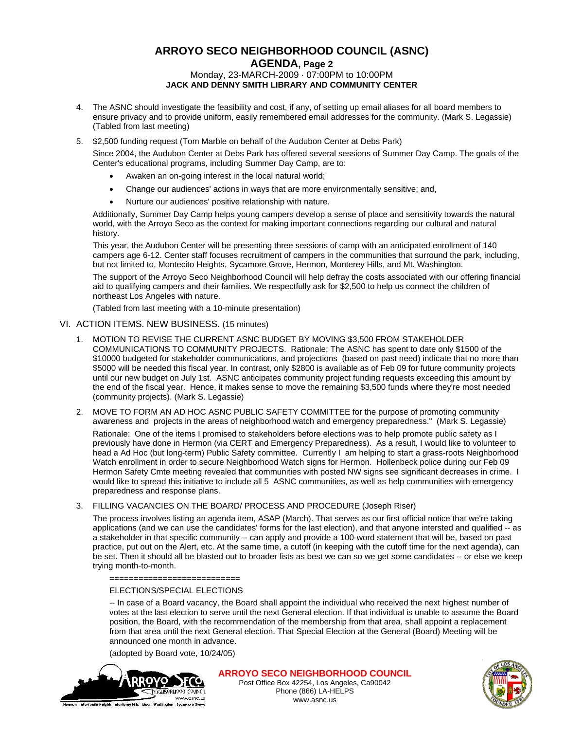## **ARROYO SECO NEIGHBORHOOD COUNCIL (ASNC) AGENDA, Page 2** Monday, 23-MARCH-2009 · 07:00PM to 10:00PM **JACK AND DENNY SMITH LIBRARY AND COMMUNITY CENTER**

- 4. The ASNC should investigate the feasibility and cost, if any, of setting up email aliases for all board members to ensure privacy and to provide uniform, easily remembered email addresses for the community. (Mark S. Legassie) (Tabled from last meeting)
- 5. \$2,500 funding request (Tom Marble on behalf of the Audubon Center at Debs Park)

Since 2004, the Audubon Center at Debs Park has offered several sessions of Summer Day Camp. The goals of the Center's educational programs, including Summer Day Camp, are to:

- Awaken an on-going interest in the local natural world;
- Change our audiences' actions in ways that are more environmentally sensitive; and,
- Nurture our audiences' positive relationship with nature.

Additionally, Summer Day Camp helps young campers develop a sense of place and sensitivity towards the natural world, with the Arroyo Seco as the context for making important connections regarding our cultural and natural history.

This year, the Audubon Center will be presenting three sessions of camp with an anticipated enrollment of 140 campers age 6-12. Center staff focuses recruitment of campers in the communities that surround the park, including, but not limited to, Montecito Heights, Sycamore Grove, Hermon, Monterey Hills, and Mt. Washington.

The support of the Arroyo Seco Neighborhood Council will help defray the costs associated with our offering financial aid to qualifying campers and their families. We respectfully ask for \$2,500 to help us connect the children of northeast Los Angeles with nature.

(Tabled from last meeting with a 10-minute presentation)

#### VI. ACTION ITEMS. NEW BUSINESS. (15 minutes)

- 1. MOTION TO REVISE THE CURRENT ASNC BUDGET BY MOVING \$3,500 FROM STAKEHOLDER COMMUNICATIONS TO COMMUNITY PROJECTS. Rationale: The ASNC has spent to date only \$1500 of the \$10000 budgeted for stakeholder communications, and projections (based on past need) indicate that no more than \$5000 will be needed this fiscal year. In contrast, only \$2800 is available as of Feb 09 for future community projects until our new budget on July 1st. ASNC anticipates community project funding requests exceeding this amount by the end of the fiscal year. Hence, it makes sense to move the remaining \$3,500 funds where they're most needed (community projects). (Mark S. Legassie)
- 2. MOVE TO FORM AN AD HOC ASNC PUBLIC SAFETY COMMITTEE for the purpose of promoting community awareness and projects in the areas of neighborhood watch and emergency preparedness." (Mark S. Legassie)

Rationale: One of the items I promised to stakeholders before elections was to help promote public safety as I previously have done in Hermon (via CERT and Emergency Preparedness). As a result, I would like to volunteer to head a Ad Hoc (but long-term) Public Safety committee. Currently I am helping to start a grass-roots Neighborhood Watch enrollment in order to secure Neighborhood Watch signs for Hermon. Hollenbeck police during our Feb 09 Hermon Safety Cmte meeting revealed that communities with posted NW signs see significant decreases in crime. I would like to spread this initiative to include all 5 ASNC communities, as well as help communities with emergency preparedness and response plans.

#### 3. FILLING VACANCIES ON THE BOARD/ PROCESS AND PROCEDURE (Joseph Riser)

The process involves listing an agenda item, ASAP (March). That serves as our first official notice that we're taking applications (and we can use the candidates' forms for the last election), and that anyone intersted and qualified -- as a stakeholder in that specific community -- can apply and provide a 100-word statement that will be, based on past practice, put out on the Alert, etc. At the same time, a cutoff (in keeping with the cutoff time for the next agenda), can be set. Then it should all be blasted out to broader lists as best we can so we get some candidates -- or else we keep trying month-to-month.

#### ELECTIONS/SPECIAL ELECTIONS

===========================

-- In case of a Board vacancy, the Board shall appoint the individual who received the next highest number of votes at the last election to serve until the next General election. If that individual is unable to assume the Board position, the Board, with the recommendation of the membership from that area, shall appoint a replacement from that area until the next General election. That Special Election at the General (Board) Meeting will be announced one month in advance.

(adopted by Board vote, 10/24/05)



**ARROYO SECO NEIGHBORHOOD COUNCIL** Post Office Box 42254, Los Angeles, Ca90042



Phone (866) LA-HELPS www.asnc.us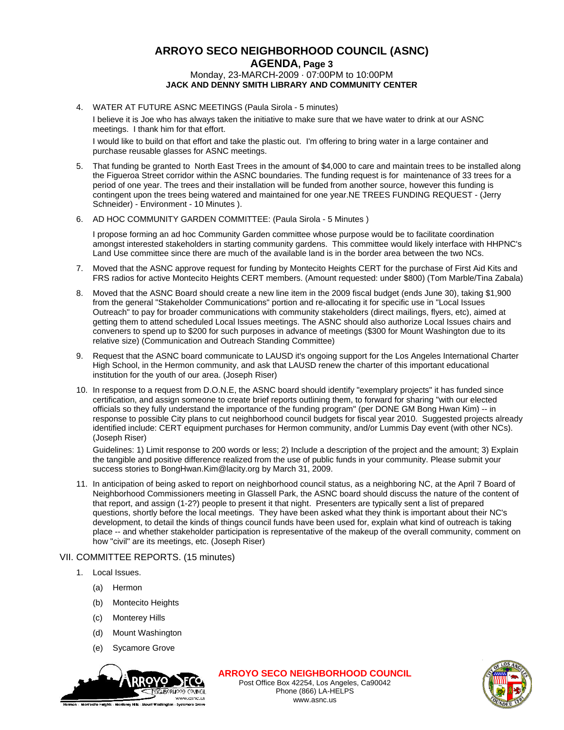## **ARROYO SECO NEIGHBORHOOD COUNCIL (ASNC) AGENDA, Page 3** Monday, 23-MARCH-2009 · 07:00PM to 10:00PM **JACK AND DENNY SMITH LIBRARY AND COMMUNITY CENTER**

4. WATER AT FUTURE ASNC MEETINGS (Paula Sirola - 5 minutes)

I believe it is Joe who has always taken the initiative to make sure that we have water to drink at our ASNC meetings. I thank him for that effort.

I would like to build on that effort and take the plastic out. I'm offering to bring water in a large container and purchase reusable glasses for ASNC meetings.

- 5. That funding be granted to North East Trees in the amount of \$4,000 to care and maintain trees to be installed along the Figueroa Street corridor within the ASNC boundaries. The funding request is for maintenance of 33 trees for a period of one year. The trees and their installation will be funded from another source, however this funding is contingent upon the trees being watered and maintained for one year.NE TREES FUNDING REQUEST - (Jerry Schneider) - Environment - 10 Minutes ).
- 6. AD HOC COMMUNITY GARDEN COMMITTEE: (Paula Sirola 5 Minutes )

I propose forming an ad hoc Community Garden committee whose purpose would be to facilitate coordination amongst interested stakeholders in starting community gardens. This committee would likely interface with HHPNC's Land Use committee since there are much of the available land is in the border area between the two NCs.

- 7. Moved that the ASNC approve request for funding by Montecito Heights CERT for the purchase of First Aid Kits and FRS radios for active Montecito Heights CERT members. (Amount requested: under \$800) (Tom Marble/Tina Zabala)
- 8. Moved that the ASNC Board should create a new line item in the 2009 fiscal budget (ends June 30), taking \$1,900 from the general "Stakeholder Communications" portion and re-allocating it for specific use in "Local Issues Outreach" to pay for broader communications with community stakeholders (direct mailings, flyers, etc), aimed at getting them to attend scheduled Local Issues meetings. The ASNC should also authorize Local Issues chairs and conveners to spend up to \$200 for such purposes in advance of meetings (\$300 for Mount Washington due to its relative size) (Communication and Outreach Standing Committee)
- 9. Request that the ASNC board communicate to LAUSD it's ongoing support for the Los Angeles International Charter High School, in the Hermon community, and ask that LAUSD renew the charter of this important educational institution for the youth of our area. (Joseph Riser)
- 10. In response to a request from D.O.N.E, the ASNC board should identify "exemplary projects" it has funded since certification, and assign someone to create brief reports outlining them, to forward for sharing "with our elected officials so they fully understand the importance of the funding program" (per DONE GM Bong Hwan Kim) -- in response to possible City plans to cut neighborhood council budgets for fiscal year 2010. Suggested projects already identified include: CERT equipment purchases for Hermon community, and/or Lummis Day event (with other NCs). (Joseph Riser)

Guidelines: 1) Limit response to 200 words or less; 2) Include a description of the project and the amount; 3) Explain the tangible and positive difference realized from the use of public funds in your community. Please submit your success stories to BongHwan.Kim@lacity.org by March 31, 2009.

11. In anticipation of being asked to report on neighborhood council status, as a neighboring NC, at the April 7 Board of Neighborhood Commissioners meeting in Glassell Park, the ASNC board should discuss the nature of the content of that report, and assign (1-2?) people to present it that night. Presenters are typically sent a list of prepared questions, shortly before the local meetings. They have been asked what they think is important about their NC's development, to detail the kinds of things council funds have been used for, explain what kind of outreach is taking place -- and whether stakeholder participation is representative of the makeup of the overall community, comment on how "civil" are its meetings, etc. (Joseph Riser)

### VII. COMMITTEE REPORTS. (15 minutes)

- 1. Local Issues.
	- (a) Hermon
	- (b) Montecito Heights
	- (c) Monterey Hills
	- (d) Mount Washington
	- (e) Sycamore Grove



**ARROYO SECO NEIGHBORHOOD COUNCIL**



Post Office Box 42254, Los Angeles, Ca90042 Phone (866) LA-HELPS www.asnc.us